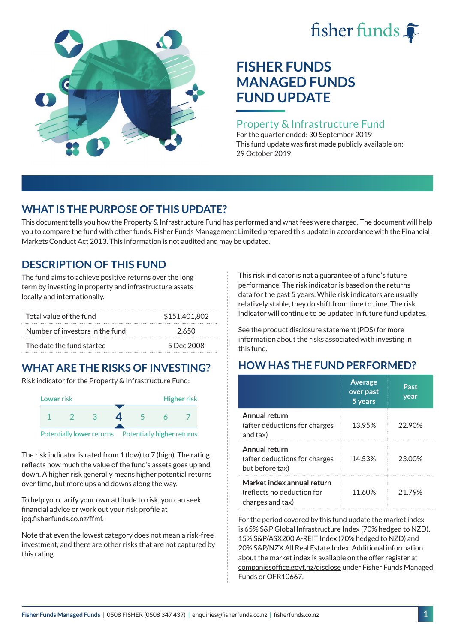# fisher funds  $\hat{\bullet}$



# **FISHER FUNDS MANAGED FUNDS FUND UPDATE**

#### Property & Infrastructure Fund

For the quarter ended: 30 September 2019 This fund update was first made publicly available on: 29 October 2019

## **WHAT IS THE PURPOSE OF THIS UPDATE?**

This document tells you how the Property & Infrastructure Fund has performed and what fees were charged. The document will help you to compare the fund with other funds. Fisher Funds Management Limited prepared this update in accordance with the Financial Markets Conduct Act 2013. This information is not audited and may be updated.

## **DESCRIPTION OF THIS FUND**

The fund aims to achieve positive returns over the long term by investing in property and infrastructure assets locally and internationally.

| Total value of the fund         | \$151,401,802 |
|---------------------------------|---------------|
| Number of investors in the fund | 2.650         |
| The date the fund started       | 5 Dec 2008    |

# **WHAT ARE THE RISKS OF INVESTING?**

Risk indicator for the Property & Infrastructure Fund:



The risk indicator is rated from 1 (low) to 7 (high). The rating reflects how much the value of the fund's assets goes up and down. A higher risk generally means higher potential returns over time, but more ups and downs along the way.

To help you clarify your own attitude to risk, you can seek financial advice or work out your risk profile at [ipq.fisherfunds.co.nz/ffmf](https://ipq.fisherfunds.co.nz/ffmf).

Note that even the lowest category does not mean a risk-free investment, and there are other risks that are not captured by this rating.

This risk indicator is not a guarantee of a fund's future performance. The risk indicator is based on the returns data for the past 5 years. While risk indicators are usually relatively stable, they do shift from time to time. The risk indicator will continue to be updated in future fund updates.

See the [product disclosure statement \(PDS\)](https://fisherfunds.co.nz/assets/PDS/Fisher-Funds-Managed-Funds-PDS.pdf) for more information about the risks associated with investing in this fund.

# **HOW HAS THE FUND PERFORMED?**

|                                                                              | <b>Average</b><br>over past<br>5 years | Past<br>year |
|------------------------------------------------------------------------------|----------------------------------------|--------------|
| Annual return<br>(after deductions for charges<br>and tax)                   | 13.95%                                 | 22.90%       |
| Annual return<br>(after deductions for charges<br>but before tax)            | 14.53%                                 | 23.00%       |
| Market index annual return<br>(reflects no deduction for<br>charges and tax) | 11.60%                                 | 21.79%       |

For the period covered by this fund update the market index is 65% S&P Global Infrastructure Index (70% hedged to NZD), 15% S&P/ASX200 A-REIT Index (70% hedged to NZD) and 20% S&P/NZX All Real Estate Index. Additional information about the market index is available on the offer register at [companiesoffice.govt.nz/disclose](http://companiesoffice.govt.nz/disclose) under Fisher Funds Managed Funds or OFR10667.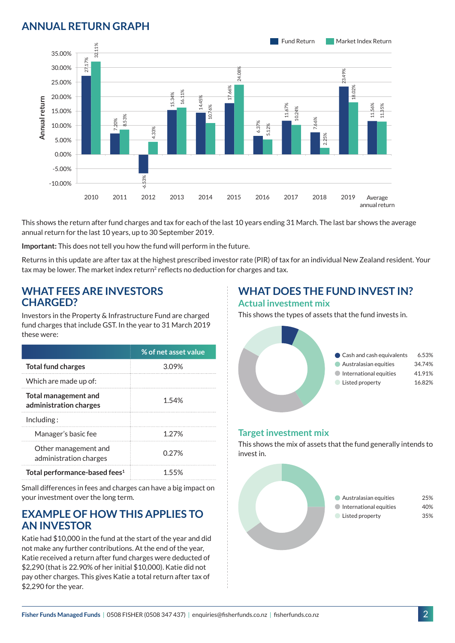## **ANNUAL RETURN GRAPH**



This shows the return after fund charges and tax for each of the last 10 years ending 31 March. The last bar shows the average annual return for the last 10 years, up to 30 September 2019.

**Important:** This does not tell you how the fund will perform in the future.

Returns in this update are after tax at the highest prescribed investor rate (PIR) of tax for an individual New Zealand resident. Your tax may be lower. The market index return<sup>2</sup> reflects no deduction for charges and tax.

#### **WHAT FEES ARE INVESTORS CHARGED?**

Investors in the Property & Infrastructure Fund are charged fund charges that include GST. In the year to 31 March 2019 these were:

|                                                | % of net asset value |
|------------------------------------------------|----------------------|
| <b>Total fund charges</b>                      | 3.09%                |
| Which are made up of:                          |                      |
| Total management and<br>administration charges | 1.54%                |
| Inding:                                        |                      |
| Manager's basic fee                            | 1 2 7 %              |
| Other management and<br>administration charges | 0.27%                |
| Total performance-based fees <sup>1</sup>      | 1 55%                |

Small differences in fees and charges can have a big impact on your investment over the long term.

#### **EXAMPLE OF HOW THIS APPLIES TO AN INVESTOR**

Katie had \$10,000 in the fund at the start of the year and did not make any further contributions. At the end of the year, Katie received a return after fund charges were deducted of \$2,290 (that is 22.90% of her initial \$10,000). Katie did not pay other charges. This gives Katie a total return after tax of \$2,290 for the year.

# **WHAT DOES THE FUND INVEST IN?**

#### **Actual investment mix**

This shows the types of assets that the fund invests in.



#### **Target investment mix**

This shows the mix of assets that the fund generally intends to invest in.